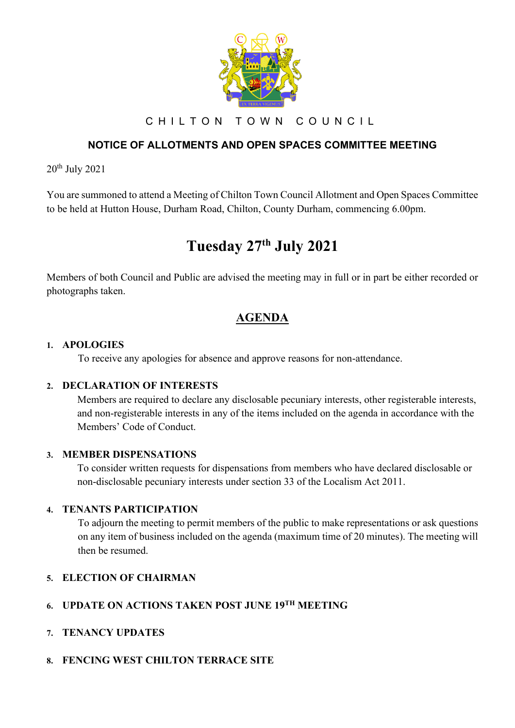

C H I L T O N T O W N C O U N C I L

## **NOTICE OF ALLOTMENTS AND OPEN SPACES COMMITTEE MEETING**

20th July 2021

You are summoned to attend a Meeting of Chilton Town Council Allotment and Open Spaces Committee to be held at Hutton House, Durham Road, Chilton, County Durham, commencing 6.00pm.

# **Tuesday 27th July 2021**

Members of both Council and Public are advised the meeting may in full or in part be either recorded or photographs taken.

# **AGENDA**

#### **1. APOLOGIES**

To receive any apologies for absence and approve reasons for non-attendance.

#### **2. DECLARATION OF INTERESTS**

Members are required to declare any disclosable pecuniary interests, other registerable interests, and non-registerable interests in any of the items included on the agenda in accordance with the Members' Code of Conduct.

#### **3. MEMBER DISPENSATIONS**

To consider written requests for dispensations from members who have declared disclosable or non-disclosable pecuniary interests under section 33 of the Localism Act 2011.

#### **4. TENANTS PARTICIPATION**

To adjourn the meeting to permit members of the public to make representations or ask questions on any item of business included on the agenda (maximum time of 20 minutes). The meeting will then be resumed.

#### **5. ELECTION OF CHAIRMAN**

# **6. UPDATE ON ACTIONS TAKEN POST JUNE 19TH MEETING**

#### **7. TENANCY UPDATES**

#### **8. FENCING WEST CHILTON TERRACE SITE**